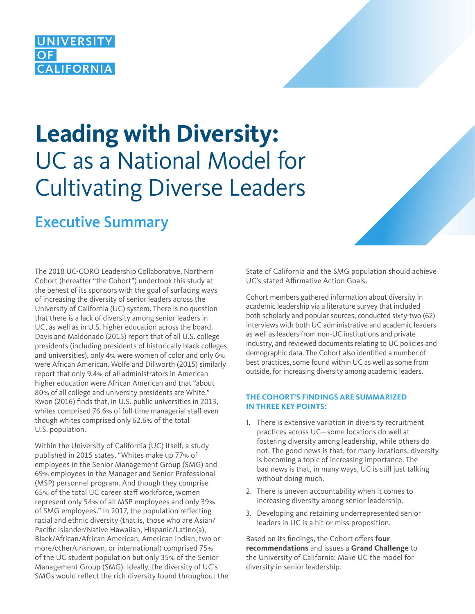## **UNIVERSIT CALIFORNIA**

# **Leading with Diversity:**  UC as a National Model for Cultivating Diverse Leaders

## Executive Summary

The 2018 UC-CORO Leadership Collaborative, Northern Cohort (hereafter "the Cohort") undertook this study at the behest of its sponsors with the goal of surfacing ways of increasing the diversity of senior leaders across the University of California (UC) system. There is no question that there is a lack of diversity among senior leaders in UC, as well as in U.S. higher education across the board. Davis and Maldonado (2015) report that of all U.S. college presidents (including presidents of historically black colleges and universities), only 4% were women of color and only 6% were African American. Wolfe and Dillworth (2015) similarly report that only 9.4% of all administrators in American higher education were African American and that "about 80% of all college and university presidents are White." Kwon (2016) finds that, in U.S. public universities in 2013, whites comprised 76.6% of full-time managerial staff even though whites comprised only 62.6% of the total U.S. population.

Within the University of California (UC) itself, a study published in 2015 states, "Whites make up 77% of employees in the Senior Management Group (SMG) and 69% employees in the Manager and Senior Professional (MSP) personnel program. And though they comprise 65% of the total UC career staff workforce, women represent only 54% of all MSP employees and only 39% of SMG employees." In 2017, the population reflecting racial and ethnic diversity (that is, those who are Asian/ Pacific Islander/Native Hawaiian, Hispanic/Latino(a), Black/African/African American, American Indian, two or more/other/unknown, or international) comprised 75% of the UC student population but only 35% of the Senior Management Group (SMG). Ideally, the diversity of UC's SMGs would reflect the rich diversity found throughout the State of California and the SMG population should achieve UC's stated Affirmative Action Goals.

Cohort members gathered information about diversity in academic leadership via a literature survey that included both scholarly and popular sources, conducted sixty-two (62) interviews with both UC administrative and academic leaders as well as leaders from non-UC institutions and private industry, and reviewed documents relating to UC policies and demographic data. The Cohort also identified a number of best practices, some found within UC as well as some from outside, for increasing diversity among academic leaders.

#### **THE COHORT'S FINDINGS ARE SUMMARIZED IN THREE KEY POINTS:**

- 1. There is extensive variation in diversity recruitment practices across UC—some locations do well at fostering diversity among leadership, while others do not. The good news is that, for many locations, diversity is becoming a topic of increasing importance. The bad news is that, in many ways, UC is still just talking without doing much.
- 2. There is uneven accountability when it comes to increasing diversity among senior leadership.
- 3. Developing and retaining underrepresented senior leaders in UC is a hit-or-miss proposition.

Based on its findings, the Cohort offers **four recommendations** and issues a **Grand Challenge** to the University of California: Make UC the model for diversity in senior leadership.